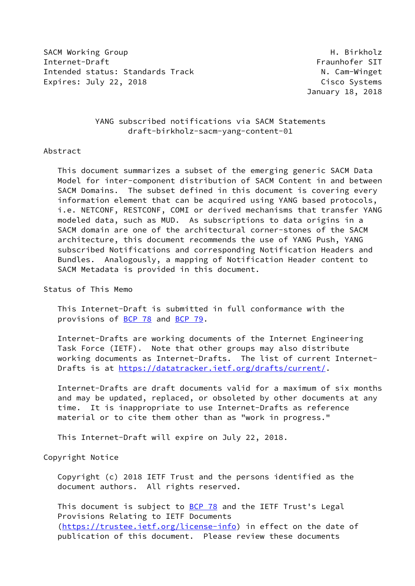SACM Working Group **H. Birkholz** Internet-Draft Fraunhofer SIT Intended status: Standards Track N. Cam-Winget Expires: July 22, 2018 Cisco Systems

January 18, 2018

## YANG subscribed notifications via SACM Statements draft-birkholz-sacm-yang-content-01

## Abstract

 This document summarizes a subset of the emerging generic SACM Data Model for inter-component distribution of SACM Content in and between SACM Domains. The subset defined in this document is covering every information element that can be acquired using YANG based protocols, i.e. NETCONF, RESTCONF, COMI or derived mechanisms that transfer YANG modeled data, such as MUD. As subscriptions to data origins in a SACM domain are one of the architectural corner-stones of the SACM architecture, this document recommends the use of YANG Push, YANG subscribed Notifications and corresponding Notification Headers and Bundles. Analogously, a mapping of Notification Header content to SACM Metadata is provided in this document.

## Status of This Memo

 This Internet-Draft is submitted in full conformance with the provisions of [BCP 78](https://datatracker.ietf.org/doc/pdf/bcp78) and [BCP 79](https://datatracker.ietf.org/doc/pdf/bcp79).

 Internet-Drafts are working documents of the Internet Engineering Task Force (IETF). Note that other groups may also distribute working documents as Internet-Drafts. The list of current Internet- Drafts is at<https://datatracker.ietf.org/drafts/current/>.

 Internet-Drafts are draft documents valid for a maximum of six months and may be updated, replaced, or obsoleted by other documents at any time. It is inappropriate to use Internet-Drafts as reference material or to cite them other than as "work in progress."

This Internet-Draft will expire on July 22, 2018.

## Copyright Notice

 Copyright (c) 2018 IETF Trust and the persons identified as the document authors. All rights reserved.

This document is subject to [BCP 78](https://datatracker.ietf.org/doc/pdf/bcp78) and the IETF Trust's Legal Provisions Relating to IETF Documents [\(https://trustee.ietf.org/license-info](https://trustee.ietf.org/license-info)) in effect on the date of publication of this document. Please review these documents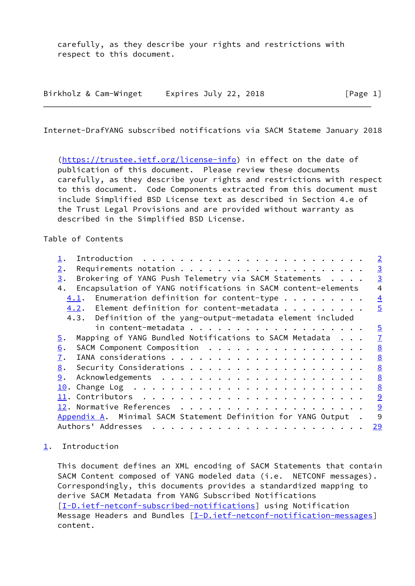carefully, as they describe your rights and restrictions with respect to this document.

| Birkholz & Cam-Winget | Expires July 22, 2018 | [Page 1] |
|-----------------------|-----------------------|----------|
|                       |                       |          |

<span id="page-1-1"></span>Internet-DrafYANG subscribed notifications via SACM Stateme January 2018

 [\(https://trustee.ietf.org/license-info](https://trustee.ietf.org/license-info)) in effect on the date of publication of this document. Please review these documents carefully, as they describe your rights and restrictions with respect to this document. Code Components extracted from this document must include Simplified BSD License text as described in Section 4.e of the Trust Legal Provisions and are provided without warranty as described in the Simplified BSD License.

Table of Contents

|                                                                            | $\overline{2}$  |
|----------------------------------------------------------------------------|-----------------|
| 2.                                                                         | $\overline{3}$  |
| Brokering of YANG Push Telemetry via SACM Statements<br>3.                 | $\overline{3}$  |
| Encapsulation of YANG notifications in SACM content-elements<br>4.         | $\overline{4}$  |
| Enumeration definition for content-type $\cdots$<br>4.1.                   | $\overline{4}$  |
| 4.2. Element definition for content-metadata                               | $\overline{5}$  |
| 4.3. Definition of the yang-output-metadata element included               |                 |
|                                                                            | $\overline{5}$  |
| Mapping of YANG Bundled Notifications to SACM Metadata<br>$\overline{5}$ . | $\underline{7}$ |
| SACM Component Composition<br>6.                                           | $\underline{8}$ |
| 7.                                                                         | $\underline{8}$ |
| 8.                                                                         | 8               |
| 9.                                                                         | 8               |
| 10.                                                                        | 8               |
|                                                                            | 9               |
|                                                                            | 9               |
| Appendix A. Minimal SACM Statement Definition for YANG Output.             | 9               |
| Authors' Addresses<br>$\cdots$                                             | <u>29</u>       |

<span id="page-1-0"></span>[1](#page-1-0). Introduction

 This document defines an XML encoding of SACM Statements that contain SACM Content composed of YANG modeled data (i.e. NETCONF messages). Correspondingly, this documents provides a standardized mapping to derive SACM Metadata from YANG Subscribed Notifications [\[I-D.ietf-netconf-subscribed-notifications](#page-9-3)] using Notification Message Headers and Bundles [\[I-D.ietf-netconf-notification-messages](#page-6-2)] content.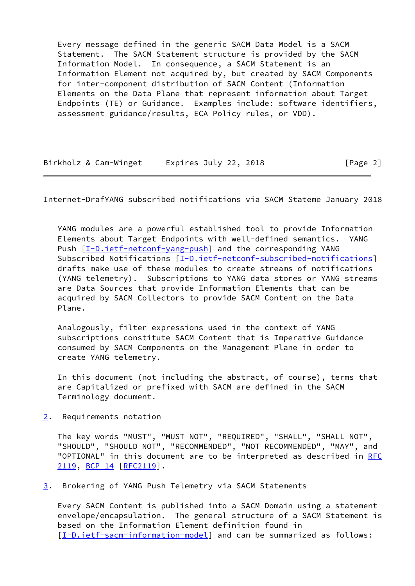Every message defined in the generic SACM Data Model is a SACM Statement. The SACM Statement structure is provided by the SACM Information Model. In consequence, a SACM Statement is an Information Element not acquired by, but created by SACM Components for inter-component distribution of SACM Content (Information Elements on the Data Plane that represent information about Target Endpoints (TE) or Guidance. Examples include: software identifiers, assessment guidance/results, ECA Policy rules, or VDD).

| Birkholz & Cam-Winget | Expires July 22, 2018 | [Page 2] |
|-----------------------|-----------------------|----------|
|-----------------------|-----------------------|----------|

<span id="page-2-1"></span>Internet-DrafYANG subscribed notifications via SACM Stateme January 2018

 YANG modules are a powerful established tool to provide Information Elements about Target Endpoints with well-defined semantics. YANG Push  $[I-D.ietf-netconf-yang-push]$  and the corresponding YANG Subscribed Notifications [\[I-D.ietf-netconf-subscribed-notifications\]](#page-9-3) drafts make use of these modules to create streams of notifications (YANG telemetry). Subscriptions to YANG data stores or YANG streams are Data Sources that provide Information Elements that can be acquired by SACM Collectors to provide SACM Content on the Data Plane.

 Analogously, filter expressions used in the context of YANG subscriptions constitute SACM Content that is Imperative Guidance consumed by SACM Components on the Management Plane in order to create YANG telemetry.

 In this document (not including the abstract, of course), terms that are Capitalized or prefixed with SACM are defined in the SACM Terminology document.

<span id="page-2-0"></span>[2](#page-2-0). Requirements notation

 The key words "MUST", "MUST NOT", "REQUIRED", "SHALL", "SHALL NOT", "SHOULD", "SHOULD NOT", "RECOMMENDED", "NOT RECOMMENDED", "MAY", and "OPTIONAL" in this document are to be interpreted as described in [RFC](https://datatracker.ietf.org/doc/pdf/rfc2119) [2119](https://datatracker.ietf.org/doc/pdf/rfc2119), [BCP 14](https://datatracker.ietf.org/doc/pdf/bcp14) [\[RFC2119](https://datatracker.ietf.org/doc/pdf/rfc2119)].

<span id="page-2-2"></span>[3](#page-2-2). Brokering of YANG Push Telemetry via SACM Statements

 Every SACM Content is published into a SACM Domain using a statement envelope/encapsulation. The general structure of a SACM Statement is based on the Information Element definition found in [\[I-D.ietf-sacm-information-model](#page-9-5)] and can be summarized as follows: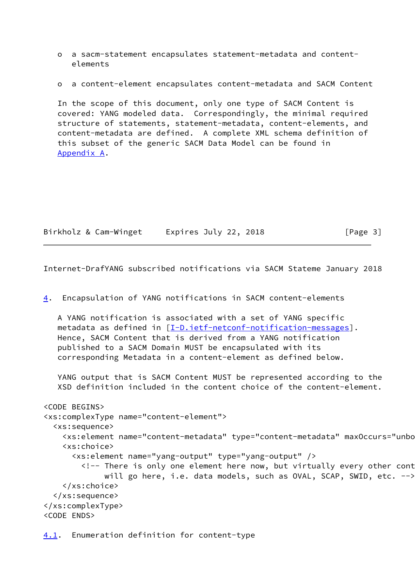- o a sacm-statement encapsulates statement-metadata and content elements
- o a content-element encapsulates content-metadata and SACM Content

 In the scope of this document, only one type of SACM Content is covered: YANG modeled data. Correspondingly, the minimal required structure of statements, statement-metadata, content-elements, and content-metadata are defined. A complete XML schema definition of this subset of the generic SACM Data Model can be found in [Appendix A](#page-10-0).

| Birkholz & Cam-Winget | Expires July 22, 2018 | [Page 3] |
|-----------------------|-----------------------|----------|
|-----------------------|-----------------------|----------|

<span id="page-3-1"></span>Internet-DrafYANG subscribed notifications via SACM Stateme January 2018

<span id="page-3-2"></span>[4](#page-3-2). Encapsulation of YANG notifications in SACM content-elements

 A YANG notification is associated with a set of YANG specific metadata as defined in [\[I-D.ietf-netconf-notification-messages](#page-6-2)]. Hence, SACM Content that is derived from a YANG notification published to a SACM Domain MUST be encapsulated with its corresponding Metadata in a content-element as defined below.

 YANG output that is SACM Content MUST be represented according to the XSD definition included in the content choice of the content-element.

```
<CODE BEGINS>
<xs:complexType name="content-element">
   <xs:sequence>
    <xs:element name="content-metadata" type="content-metadata" maxOccurs="unbo
     <xs:choice>
       <xs:element name="yang-output" type="yang-output" />
        <!-- There is only one element here now, but virtually every other cont
             will go here, i.e. data models, such as OVAL, SCAP, SWID, etc. -->
     </xs:choice>
   </xs:sequence>
</xs:complexType>
<CODE ENDS>
```
<span id="page-3-0"></span>[4.1](#page-3-0). Enumeration definition for content-type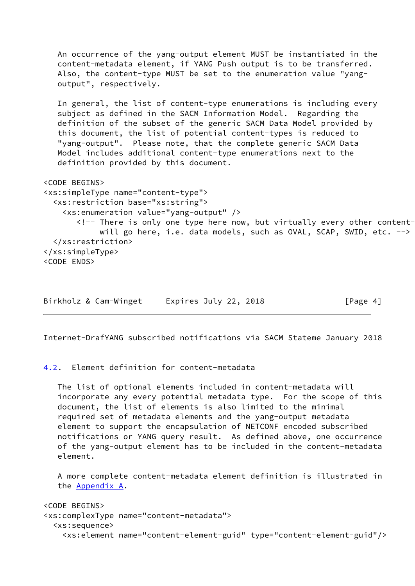An occurrence of the yang-output element MUST be instantiated in the content-metadata element, if YANG Push output is to be transferred. Also, the content-type MUST be set to the enumeration value "yang output", respectively. In general, the list of content-type enumerations is including every subject as defined in the SACM Information Model. Regarding the definition of the subset of the generic SACM Data Model provided by this document, the list of potential content-types is reduced to "yang-output". Please note, that the complete generic SACM Data Model includes additional content-type enumerations next to the definition provided by this document. <CODE BEGINS> <xs:simpleType name="content-type"> <xs:restriction base="xs:string"> <xs:enumeration value="yang-output" />  $\langle$ !-- There is only one type here now, but virtually every other contentwill go here, i.e. data models, such as OVAL, SCAP, SWID, etc. --> </xs:restriction> </xs:simpleType> <CODE ENDS>

Birkholz & Cam-Winget Expires July 22, 2018 [Page 4]

<span id="page-4-1"></span>Internet-DrafYANG subscribed notifications via SACM Stateme January 2018

<span id="page-4-0"></span>[4.2](#page-4-0). Element definition for content-metadata

 The list of optional elements included in content-metadata will incorporate any every potential metadata type. For the scope of this document, the list of elements is also limited to the minimal required set of metadata elements and the yang-output metadata element to support the encapsulation of NETCONF encoded subscribed notifications or YANG query result. As defined above, one occurrence of the yang-output element has to be included in the content-metadata element.

 A more complete content-metadata element definition is illustrated in the [Appendix A.](#page-10-0)

<CODE BEGINS> <xs:complexType name="content-metadata"> <xs:sequence> <xs:element name="content-element-guid" type="content-element-guid"/>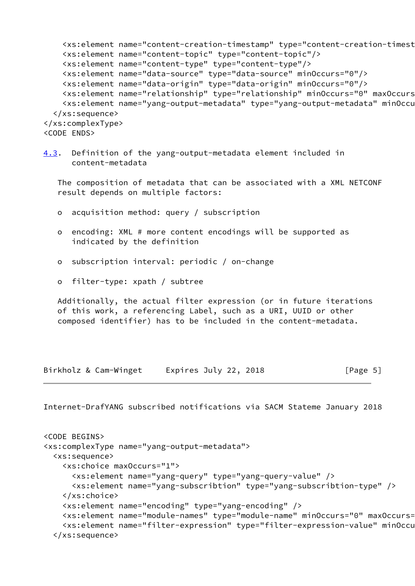```
 <xs:element name="content-creation-timestamp" type="content-creation-timestamp"/>
    <xs:element name="content-topic" type="content-topic"/>
    <xs:element name="content-type" type="content-type"/>
    <xs:element name="data-source" type="data-source" minOccurs="0"/>
    <xs:element name="data-origin" type="data-origin" minOccurs="0"/>
   <xs:element name="relationship" type="relationship" minOccurs="0" maxOccurs
    <xs:element name="yang-output-metadata" type="yang-output-metadata" minOccurs="0"/>
  </xs:sequence>
</xs:complexType>
<CODE ENDS>
```
<span id="page-5-0"></span>[4.3](#page-5-0). Definition of the yang-output-metadata element included in content-metadata

 The composition of metadata that can be associated with a XML NETCONF result depends on multiple factors:

- o acquisition method: query / subscription
- o encoding: XML # more content encodings will be supported as indicated by the definition
- o subscription interval: periodic / on-change
- o filter-type: xpath / subtree

 Additionally, the actual filter expression (or in future iterations of this work, a referencing Label, such as a URI, UUID or other composed identifier) has to be included in the content-metadata.

Birkholz & Cam-Winget Expires July 22, 2018 [Page 5]

```
<CODE BEGINS>
<xs:complexType name="yang-output-metadata">
  <xs:sequence>
     <xs:choice maxOccurs="1">
       <xs:element name="yang-query" type="yang-query-value" />
       <xs:element name="yang-subscribtion" type="yang-subscribtion-type" />
     </xs:choice>
     <xs:element name="encoding" type="yang-encoding" />
    <xs:element name="module-names" type="module-name" minOccurs="0" maxOccurs=
    <xs:element name="filter-expression" type="filter-expression-value" minOccu
   </xs:sequence>
```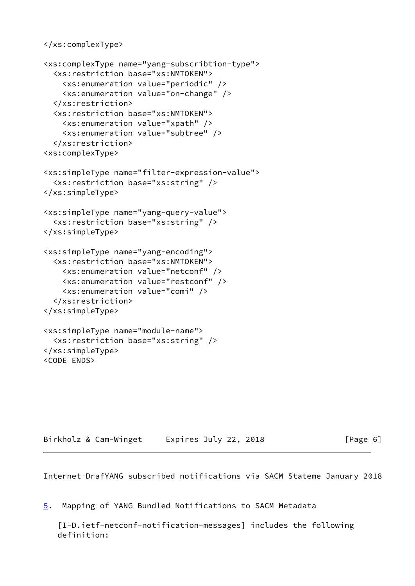```
</xs:complexType>
```

```
<xs:complexType name="yang-subscribtion-type">
   <xs:restriction base="xs:NMTOKEN">
     <xs:enumeration value="periodic" />
     <xs:enumeration value="on-change" />
   </xs:restriction>
   <xs:restriction base="xs:NMTOKEN">
     <xs:enumeration value="xpath" />
     <xs:enumeration value="subtree" />
   </xs:restriction>
<xs:complexType>
<xs:simpleType name="filter-expression-value">
   <xs:restriction base="xs:string" />
</xs:simpleType>
<xs:simpleType name="yang-query-value">
   <xs:restriction base="xs:string" />
</xs:simpleType>
<xs:simpleType name="yang-encoding">
   <xs:restriction base="xs:NMTOKEN">
     <xs:enumeration value="netconf" />
     <xs:enumeration value="restconf" />
     <xs:enumeration value="comi" />
   </xs:restriction>
</xs:simpleType>
<xs:simpleType name="module-name">
   <xs:restriction base="xs:string" />
</xs:simpleType>
```
<CODE ENDS>

 $[Page 6]$ 

<span id="page-6-1"></span>Internet-DrafYANG subscribed notifications via SACM Stateme January 2018

<span id="page-6-0"></span>[5](#page-6-0). Mapping of YANG Bundled Notifications to SACM Metadata

<span id="page-6-2"></span> [I-D.ietf-netconf-notification-messages] includes the following definition: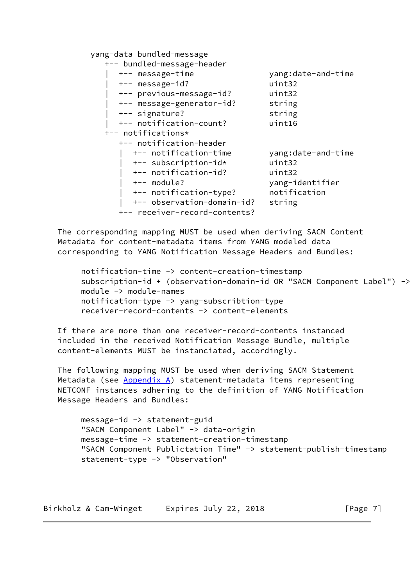yang-data bundled-message

| +-- bundled-message-header    |                    |
|-------------------------------|--------------------|
| +-- message-time              | yang:date-and-time |
| +-- message-id?               | uint32             |
| +-- previous-message-id?      | uint32             |
| +-- message-generator-id?     | string             |
| +-- signature?                | string             |
| +-- notification-count?       | uint16             |
| +-- notifications*            |                    |
| +-- notification-header       |                    |
| +-- notification-time         | yang:date-and-time |
| +-- subscription-id*          | uint32             |
| +-- notification-id?          | uint32             |
| $+--$ module?                 | yang-identifier    |
| +-- notification-type?        | notification       |
| +-- observation-domain-id?    | string             |
| +-- receiver-record-contents? |                    |

 The corresponding mapping MUST be used when deriving SACM Content Metadata for content-metadata items from YANG modeled data corresponding to YANG Notification Message Headers and Bundles:

```
 notification-time -> content-creation-timestamp
subscription-id + (observation-domain-id OR "SACM Component Label") ->
 module -> module-names
 notification-type -> yang-subscribtion-type
 receiver-record-contents -> content-elements
```
 If there are more than one receiver-record-contents instanced included in the received Notification Message Bundle, multiple content-elements MUST be instanciated, accordingly.

 The following mapping MUST be used when deriving SACM Statement Metadata (see [Appendix A\)](#page-10-0) statement-metadata items representing NETCONF instances adhering to the definition of YANG Notification Message Headers and Bundles:

 message-id -> statement-guid "SACM Component Label" -> data-origin message-time -> statement-creation-timestamp "SACM Component Publictation Time" -> statement-publish-timestamp statement-type -> "Observation"

Birkholz & Cam-Winget Expires July 22, 2018 [Page 7]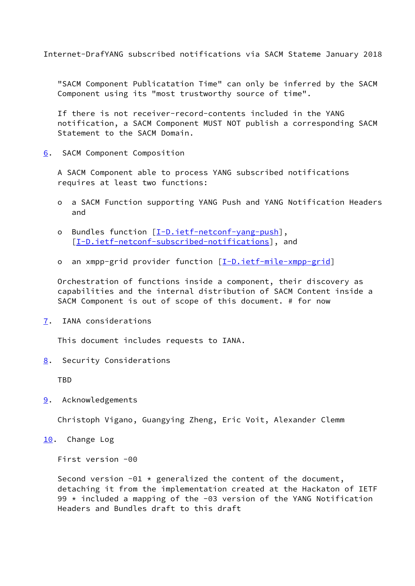<span id="page-8-1"></span> "SACM Component Publicatation Time" can only be inferred by the SACM Component using its "most trustworthy source of time".

 If there is not receiver-record-contents included in the YANG notification, a SACM Component MUST NOT publish a corresponding SACM Statement to the SACM Domain.

<span id="page-8-0"></span>[6](#page-8-0). SACM Component Composition

 A SACM Component able to process YANG subscribed notifications requires at least two functions:

- o a SACM Function supporting YANG Push and YANG Notification Headers and
- o Bundles function [\[I-D.ietf-netconf-yang-push\]](#page-9-4), [[I-D.ietf-netconf-subscribed-notifications\]](#page-9-3), and
- o an xmpp-grid provider function [[I-D.ietf-mile-xmpp-grid](#page-9-6)]

 Orchestration of functions inside a component, their discovery as capabilities and the internal distribution of SACM Content inside a SACM Component is out of scope of this document. # for now

<span id="page-8-2"></span>[7](#page-8-2). IANA considerations

This document includes requests to IANA.

<span id="page-8-3"></span>[8](#page-8-3). Security Considerations

TBD

<span id="page-8-4"></span>[9](#page-8-4). Acknowledgements

Christoph Vigano, Guangying Zheng, Eric Voit, Alexander Clemm

<span id="page-8-5"></span>[10.](#page-8-5) Change Log

First version -00

Second version  $-01 *$  generalized the content of the document, detaching it from the implementation created at the Hackaton of IETF 99 \* included a mapping of the -03 version of the YANG Notification Headers and Bundles draft to this draft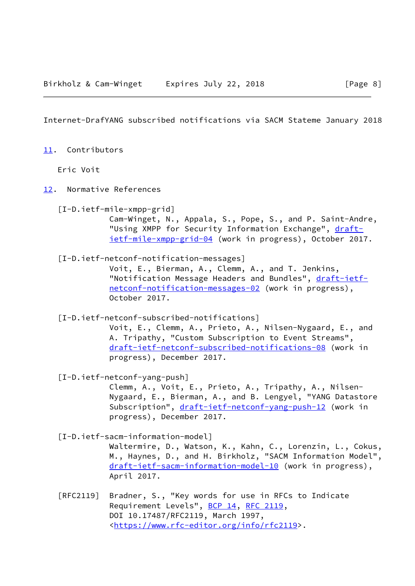<span id="page-9-1"></span><span id="page-9-0"></span>[11.](#page-9-0) Contributors

Eric Voit

- <span id="page-9-6"></span><span id="page-9-5"></span><span id="page-9-4"></span><span id="page-9-3"></span><span id="page-9-2"></span>[12.](#page-9-2) Normative References
	- [I-D.ietf-mile-xmpp-grid] Cam-Winget, N., Appala, S., Pope, S., and P. Saint-Andre, "Using XMPP for Security Information Exchange", [draft](https://datatracker.ietf.org/doc/pdf/draft-ietf-mile-xmpp-grid-04) [ietf-mile-xmpp-grid-04](https://datatracker.ietf.org/doc/pdf/draft-ietf-mile-xmpp-grid-04) (work in progress), October 2017.
	- [I-D.ietf-netconf-notification-messages] Voit, E., Bierman, A., Clemm, A., and T. Jenkins, "Notification Message Headers and Bundles", [draft-ietf](https://datatracker.ietf.org/doc/pdf/draft-ietf-netconf-notification-messages-02) [netconf-notification-messages-02](https://datatracker.ietf.org/doc/pdf/draft-ietf-netconf-notification-messages-02) (work in progress), October 2017.
	- [I-D.ietf-netconf-subscribed-notifications] Voit, E., Clemm, A., Prieto, A., Nilsen-Nygaard, E., and A. Tripathy, "Custom Subscription to Event Streams", [draft-ietf-netconf-subscribed-notifications-08](https://datatracker.ietf.org/doc/pdf/draft-ietf-netconf-subscribed-notifications-08) (work in progress), December 2017.
	- [I-D.ietf-netconf-yang-push] Clemm, A., Voit, E., Prieto, A., Tripathy, A., Nilsen- Nygaard, E., Bierman, A., and B. Lengyel, "YANG Datastore Subscription", [draft-ietf-netconf-yang-push-12](https://datatracker.ietf.org/doc/pdf/draft-ietf-netconf-yang-push-12) (work in progress), December 2017.
	- [I-D.ietf-sacm-information-model] Waltermire, D., Watson, K., Kahn, C., Lorenzin, L., Cokus, M., Haynes, D., and H. Birkholz, "SACM Information Model", [draft-ietf-sacm-information-model-10](https://datatracker.ietf.org/doc/pdf/draft-ietf-sacm-information-model-10) (work in progress), April 2017.
	- [RFC2119] Bradner, S., "Key words for use in RFCs to Indicate Requirement Levels", [BCP 14](https://datatracker.ietf.org/doc/pdf/bcp14), [RFC 2119](https://datatracker.ietf.org/doc/pdf/rfc2119), DOI 10.17487/RFC2119, March 1997, <[https://www.rfc-editor.org/info/rfc2119>](https://www.rfc-editor.org/info/rfc2119).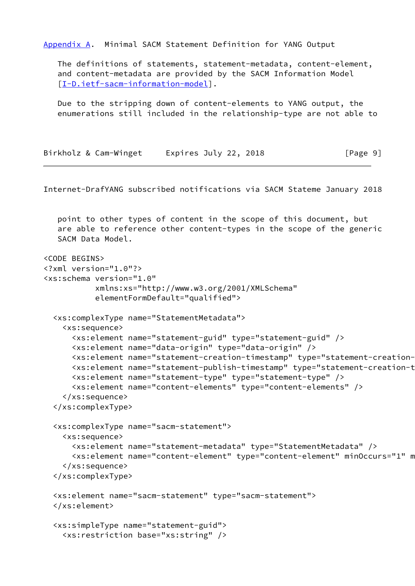<span id="page-10-0"></span>[Appendix A.](#page-10-0) Minimal SACM Statement Definition for YANG Output

 The definitions of statements, statement-metadata, content-element, and content-metadata are provided by the SACM Information Model [\[I-D.ietf-sacm-information-model](#page-9-5)].

 Due to the stripping down of content-elements to YANG output, the enumerations still included in the relationship-type are not able to

| Birkholz & Cam-Winget | Expires July 22, 2018 | [Page 9] |
|-----------------------|-----------------------|----------|
|-----------------------|-----------------------|----------|

Internet-DrafYANG subscribed notifications via SACM Stateme January 2018

 point to other types of content in the scope of this document, but are able to reference other content-types in the scope of the generic SACM Data Model.

```
<CODE BEGINS>
<?xml version="1.0"?>
<xs:schema version="1.0"
            xmlns:xs="http://www.w3.org/2001/XMLSchema"
            elementFormDefault="qualified">
   <xs:complexType name="StatementMetadata">
     <xs:sequence>
       <xs:element name="statement-guid" type="statement-guid" />
       <xs:element name="data-origin" type="data-origin" />
      <xs:element name="statement-creation-timestamp" type="statement-creation-
       <xs:element name="statement-publish-timestamp" type="statement-creation-timestamp" />
       <xs:element name="statement-type" type="statement-type" />
       <xs:element name="content-elements" type="content-elements" />
     </xs:sequence>
   </xs:complexType>
   <xs:complexType name="sacm-statement">
     <xs:sequence>
       <xs:element name="statement-metadata" type="StatementMetadata" />
      <xs:element name="content-element" type="content-element" minOccurs="1" m
     </xs:sequence>
   </xs:complexType>
   <xs:element name="sacm-statement" type="sacm-statement">
   </xs:element>
   <xs:simpleType name="statement-guid">
     <xs:restriction base="xs:string" />
```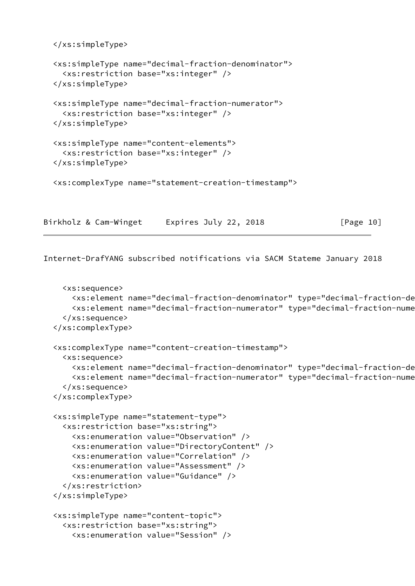```
 </xs:simpleType>
   <xs:simpleType name="decimal-fraction-denominator">
     <xs:restriction base="xs:integer" />
   </xs:simpleType>
   <xs:simpleType name="decimal-fraction-numerator">
     <xs:restriction base="xs:integer" />
   </xs:simpleType>
   <xs:simpleType name="content-elements">
     <xs:restriction base="xs:integer" />
   </xs:simpleType>
   <xs:complexType name="statement-creation-timestamp">
Birkholz & Cam-Winget Expires July 22, 2018 [Page 10]
```

```
 <xs:sequence>
     <xs:element name="decimal-fraction-denominator" type="decimal-fraction-denominator"/>
    <xs:element name="decimal-fraction-numerator" type="decimal-fraction-nume
   </xs:sequence>
 </xs:complexType>
 <xs:complexType name="content-creation-timestamp">
   <xs:sequence>
    <xs:element name="decimal-fraction-denominator" type="decimal-fraction-de
     <xs:element name="decimal-fraction-numerator" type="decimal-fraction-numerator"/>
   </xs:sequence>
 </xs:complexType>
 <xs:simpleType name="statement-type">
   <xs:restriction base="xs:string">
     <xs:enumeration value="Observation" />
     <xs:enumeration value="DirectoryContent" />
     <xs:enumeration value="Correlation" />
     <xs:enumeration value="Assessment" />
     <xs:enumeration value="Guidance" />
   </xs:restriction>
 </xs:simpleType>
 <xs:simpleType name="content-topic">
   <xs:restriction base="xs:string">
     <xs:enumeration value="Session" />
```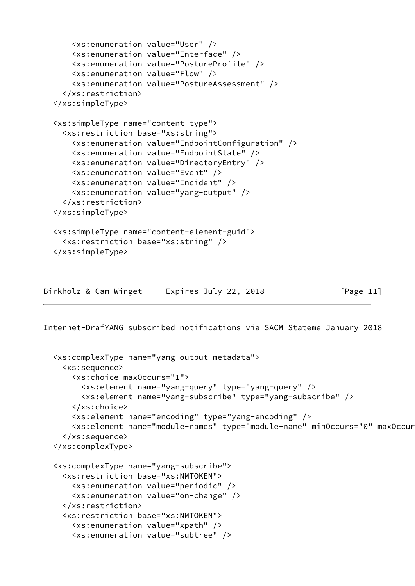```
 <xs:enumeration value="User" />
     <xs:enumeration value="Interface" />
     <xs:enumeration value="PostureProfile" />
     <xs:enumeration value="Flow" />
     <xs:enumeration value="PostureAssessment" />
   </xs:restriction>
 </xs:simpleType>
 <xs:simpleType name="content-type">
   <xs:restriction base="xs:string">
     <xs:enumeration value="EndpointConfiguration" />
     <xs:enumeration value="EndpointState" />
     <xs:enumeration value="DirectoryEntry" />
     <xs:enumeration value="Event" />
     <xs:enumeration value="Incident" />
     <xs:enumeration value="yang-output" />
   </xs:restriction>
 </xs:simpleType>
 <xs:simpleType name="content-element-guid">
   <xs:restriction base="xs:string" />
 </xs:simpleType>
```

```
Birkholz & Cam-Winget Expires July 22, 2018 [Page 11]
```

```
 <xs:complexType name="yang-output-metadata">
   <xs:sequence>
     <xs:choice maxOccurs="1">
       <xs:element name="yang-query" type="yang-query" />
       <xs:element name="yang-subscribe" type="yang-subscribe" />
     </xs:choice>
     <xs:element name="encoding" type="yang-encoding" />
    <xs:element name="module-names" type="module-name" minOccurs="0" maxOccur
   </xs:sequence>
 </xs:complexType>
 <xs:complexType name="yang-subscribe">
   <xs:restriction base="xs:NMTOKEN">
     <xs:enumeration value="periodic" />
     <xs:enumeration value="on-change" />
   </xs:restriction>
   <xs:restriction base="xs:NMTOKEN">
     <xs:enumeration value="xpath" />
     <xs:enumeration value="subtree" />
```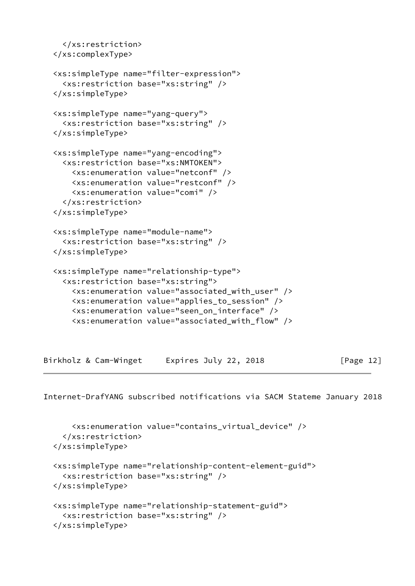```
 </xs:restriction>
 </xs:complexType>
 <xs:simpleType name="filter-expression">
   <xs:restriction base="xs:string" />
 </xs:simpleType>
 <xs:simpleType name="yang-query">
   <xs:restriction base="xs:string" />
 </xs:simpleType>
 <xs:simpleType name="yang-encoding">
   <xs:restriction base="xs:NMTOKEN">
     <xs:enumeration value="netconf" />
     <xs:enumeration value="restconf" />
     <xs:enumeration value="comi" />
   </xs:restriction>
 </xs:simpleType>
 <xs:simpleType name="module-name">
   <xs:restriction base="xs:string" />
 </xs:simpleType>
 <xs:simpleType name="relationship-type">
   <xs:restriction base="xs:string">
     <xs:enumeration value="associated_with_user" />
     <xs:enumeration value="applies_to_session" />
     <xs:enumeration value="seen_on_interface" />
     <xs:enumeration value="associated_with_flow" />
```
Birkholz & Cam-Winget Expires July 22, 2018 [Page 12]

```
 <xs:enumeration value="contains_virtual_device" />
   </xs:restriction>
 </xs:simpleType>
 <xs:simpleType name="relationship-content-element-guid">
   <xs:restriction base="xs:string" />
 </xs:simpleType>
 <xs:simpleType name="relationship-statement-guid">
   <xs:restriction base="xs:string" />
 </xs:simpleType>
```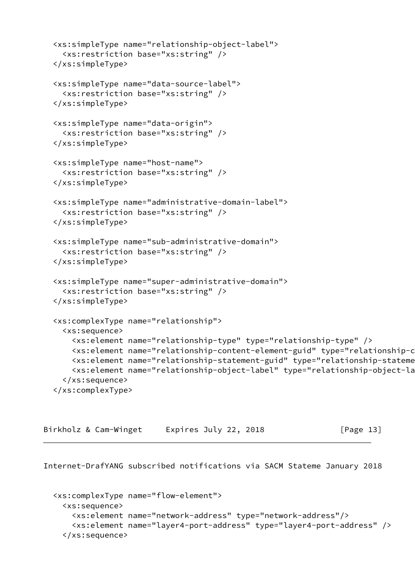```
 <xs:simpleType name="relationship-object-label">
   <xs:restriction base="xs:string" />
 </xs:simpleType>
 <xs:simpleType name="data-source-label">
   <xs:restriction base="xs:string" />
 </xs:simpleType>
 <xs:simpleType name="data-origin">
   <xs:restriction base="xs:string" />
 </xs:simpleType>
 <xs:simpleType name="host-name">
   <xs:restriction base="xs:string" />
 </xs:simpleType>
 <xs:simpleType name="administrative-domain-label">
   <xs:restriction base="xs:string" />
 </xs:simpleType>
 <xs:simpleType name="sub-administrative-domain">
   <xs:restriction base="xs:string" />
 </xs:simpleType>
 <xs:simpleType name="super-administrative-domain">
   <xs:restriction base="xs:string" />
 </xs:simpleType>
 <xs:complexType name="relationship">
   <xs:sequence>
     <xs:element name="relationship-type" type="relationship-type" />
     <xs:element name="relationship-content-element-guid" type="relationship-content-element-gu
    <xs:element name="relationship-statement-guid" type="relationship-stateme
     <xs:element name="relationship-object-label" type="relationship-object-label" minOccurs="0
   </xs:sequence>
 </xs:complexType>
```

| Birkholz & Cam-Winget | Expires July 22, 2018 | [Page 13] |
|-----------------------|-----------------------|-----------|
|-----------------------|-----------------------|-----------|

```
 <xs:complexType name="flow-element">
   <xs:sequence>
     <xs:element name="network-address" type="network-address"/>
     <xs:element name="layer4-port-address" type="layer4-port-address" />
   </xs:sequence>
```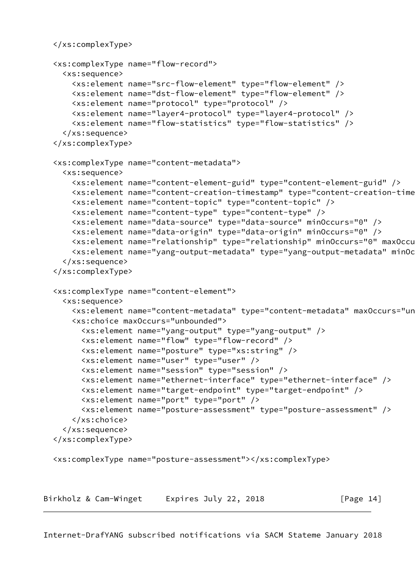```
 </xs:complexType>
   <xs:complexType name="flow-record">
     <xs:sequence>
       <xs:element name="src-flow-element" type="flow-element" />
       <xs:element name="dst-flow-element" type="flow-element" />
       <xs:element name="protocol" type="protocol" />
       <xs:element name="layer4-protocol" type="layer4-protocol" />
       <xs:element name="flow-statistics" type="flow-statistics" />
     </xs:sequence>
   </xs:complexType>
   <xs:complexType name="content-metadata">
     <xs:sequence>
       <xs:element name="content-element-guid" type="content-element-guid" />
       <xs:element name="content-creation-timestamp" type="content-creation-timestamp" />
       <xs:element name="content-topic" type="content-topic" />
       <xs:element name="content-type" type="content-type" />
       <xs:element name="data-source" type="data-source" minOccurs="0" />
       <xs:element name="data-origin" type="data-origin" minOccurs="0" />
      <xs:element name="relationship" type="relationship" minOccurs="0" maxOccu
       <xs:element name="yang-output-metadata" type="yang-output-metadata" minOccurs="0"/>
     </xs:sequence>
   </xs:complexType>
   <xs:complexType name="content-element">
     <xs:sequence>
       <xs:element name="content-metadata" type="content-metadata" maxOccurs="unbounded"/>
       <xs:choice maxOccurs="unbounded">
         <xs:element name="yang-output" type="yang-output" />
         <xs:element name="flow" type="flow-record" />
         <xs:element name="posture" type="xs:string" />
         <xs:element name="user" type="user" />
         <xs:element name="session" type="session" />
         <xs:element name="ethernet-interface" type="ethernet-interface" />
         <xs:element name="target-endpoint" type="target-endpoint" />
         <xs:element name="port" type="port" />
         <xs:element name="posture-assessment" type="posture-assessment" />
       </xs:choice>
     </xs:sequence>
   </xs:complexType>
   <xs:complexType name="posture-assessment"></xs:complexType>
Birkholz & Cam-Winget Expires July 22, 2018 [Page 14]
```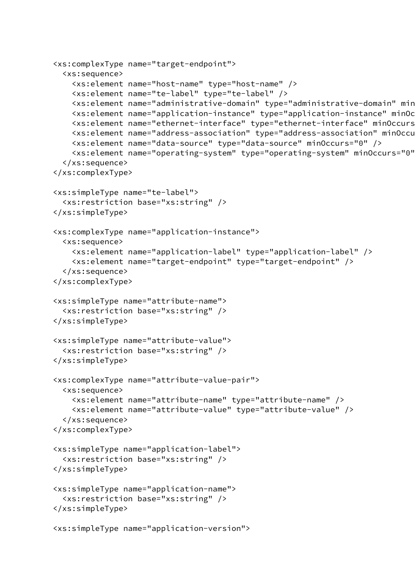```
 <xs:complexType name="target-endpoint">
   <xs:sequence>
     <xs:element name="host-name" type="host-name" />
     <xs:element name="te-label" type="te-label" />
    <xs:element name="administrative-domain" type="administrative-domain" min
    <xs:element name="application-instance" type="application-instance" minOc
    <xs:element name="ethernet-interface" type="ethernet-interface" minOccurs
     <xs:element name="address-association" type="address-association" minOccurs="0" maxOccurs=
     <xs:element name="data-source" type="data-source" minOccurs="0" />
     <xs:element name="operating-system" type="operating-system" minOccurs="0" />
   </xs:sequence>
 </xs:complexType>
 <xs:simpleType name="te-label">
   <xs:restriction base="xs:string" />
 </xs:simpleType>
 <xs:complexType name="application-instance">
   <xs:sequence>
     <xs:element name="application-label" type="application-label" />
     <xs:element name="target-endpoint" type="target-endpoint" />
   </xs:sequence>
 </xs:complexType>
 <xs:simpleType name="attribute-name">
   <xs:restriction base="xs:string" />
 </xs:simpleType>
 <xs:simpleType name="attribute-value">
   <xs:restriction base="xs:string" />
 </xs:simpleType>
 <xs:complexType name="attribute-value-pair">
   <xs:sequence>
     <xs:element name="attribute-name" type="attribute-name" />
     <xs:element name="attribute-value" type="attribute-value" />
   </xs:sequence>
 </xs:complexType>
 <xs:simpleType name="application-label">
   <xs:restriction base="xs:string" />
 </xs:simpleType>
 <xs:simpleType name="application-name">
   <xs:restriction base="xs:string" />
 </xs:simpleType>
 <xs:simpleType name="application-version">
```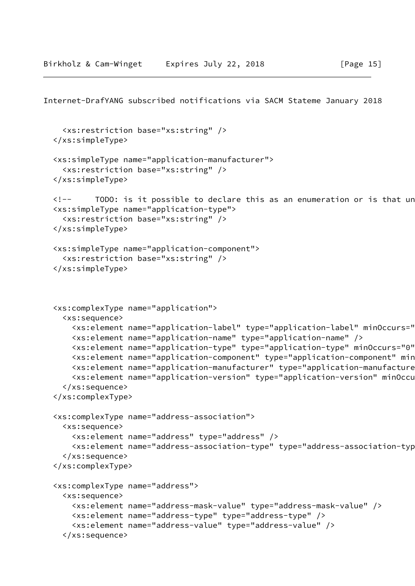```
Internet-DrafYANG subscribed notifications via SACM Stateme January 2018
     <xs:restriction base="xs:string" />
   </xs:simpleType>
   <xs:simpleType name="application-manufacturer">
     <xs:restriction base="xs:string" />
   </xs:simpleType>
  \langle!-- TODO: is it possible to declare this as an enumeration or is that un
   <xs:simpleType name="application-type">
     <xs:restriction base="xs:string" />
   </xs:simpleType>
   <xs:simpleType name="application-component">
     <xs:restriction base="xs:string" />
   </xs:simpleType>
   <xs:complexType name="application">
     <xs:sequence>
       <xs:element name="application-label" type="application-label" minOccurs="0" />
       <xs:element name="application-name" type="application-name" />
      <xs:element name="application-type" type="application-type" minOccurs="0"
      <xs:element name="application-component" type="application-component" min
      <xs:element name="application-manufacturer" type="application-manufacture
       <xs:element name="application-version" type="application-version" minOccurs="0" />
     </xs:sequence>
   </xs:complexType>
   <xs:complexType name="address-association">
     <xs:sequence>
       <xs:element name="address" type="address" />
       <xs:element name="address-association-type" type="address-association-type" />
     </xs:sequence>
   </xs:complexType>
   <xs:complexType name="address">
     <xs:sequence>
       <xs:element name="address-mask-value" type="address-mask-value" />
       <xs:element name="address-type" type="address-type" />
```

```
 <xs:element name="address-value" type="address-value" />
```

```
 </xs:sequence>
```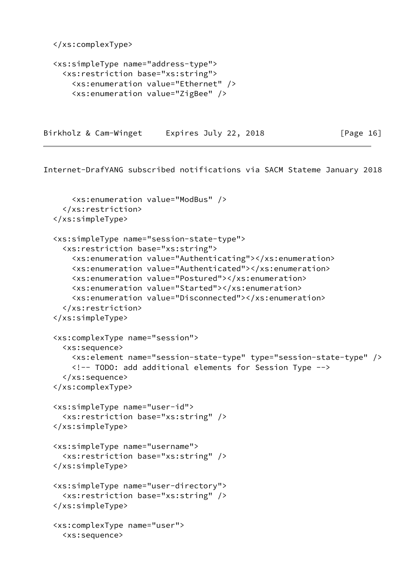```
 </xs:complexType>
```

```
 <xs:simpleType name="address-type">
   <xs:restriction base="xs:string">
     <xs:enumeration value="Ethernet" />
     <xs:enumeration value="ZigBee" />
```
Birkholz & Cam-Winget Expires July 22, 2018 [Page 16]

```
 <xs:enumeration value="ModBus" />
   </xs:restriction>
 </xs:simpleType>
 <xs:simpleType name="session-state-type">
   <xs:restriction base="xs:string">
     <xs:enumeration value="Authenticating"></xs:enumeration>
     <xs:enumeration value="Authenticated"></xs:enumeration>
     <xs:enumeration value="Postured"></xs:enumeration>
     <xs:enumeration value="Started"></xs:enumeration>
     <xs:enumeration value="Disconnected"></xs:enumeration>
   </xs:restriction>
 </xs:simpleType>
 <xs:complexType name="session">
   <xs:sequence>
     <xs:element name="session-state-type" type="session-state-type" />
     <!-- TODO: add additional elements for Session Type -->
   </xs:sequence>
 </xs:complexType>
 <xs:simpleType name="user-id">
   <xs:restriction base="xs:string" />
 </xs:simpleType>
 <xs:simpleType name="username">
   <xs:restriction base="xs:string" />
 </xs:simpleType>
 <xs:simpleType name="user-directory">
   <xs:restriction base="xs:string" />
 </xs:simpleType>
 <xs:complexType name="user">
   <xs:sequence>
```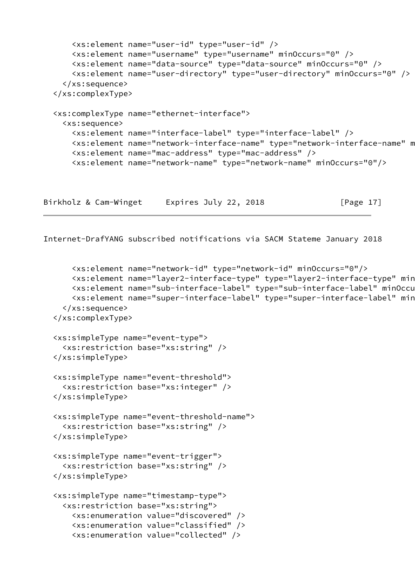```
 <xs:element name="user-id" type="user-id" />
     <xs:element name="username" type="username" minOccurs="0" />
     <xs:element name="data-source" type="data-source" minOccurs="0" />
     <xs:element name="user-directory" type="user-directory" minOccurs="0" />
   </xs:sequence>
 </xs:complexType>
 <xs:complexType name="ethernet-interface">
   <xs:sequence>
     <xs:element name="interface-label" type="interface-label" />
    <xs:element name="network-interface-name" type="network-interface-name" m
     <xs:element name="mac-address" type="mac-address" />
     <xs:element name="network-name" type="network-name" minOccurs="0"/>
```
Birkholz & Cam-Winget Expires July 22, 2018 [Page 17]

```
 <xs:element name="network-id" type="network-id" minOccurs="0"/>
    <xs:element name="layer2-interface-type" type="layer2-interface-type" min
    <xs:element name="sub-interface-label" type="sub-interface-label" minOccu
    <xs:element name="super-interface-label" type="super-interface-label" min
   </xs:sequence>
 </xs:complexType>
 <xs:simpleType name="event-type">
   <xs:restriction base="xs:string" />
 </xs:simpleType>
 <xs:simpleType name="event-threshold">
   <xs:restriction base="xs:integer" />
 </xs:simpleType>
 <xs:simpleType name="event-threshold-name">
   <xs:restriction base="xs:string" />
 </xs:simpleType>
 <xs:simpleType name="event-trigger">
   <xs:restriction base="xs:string" />
 </xs:simpleType>
 <xs:simpleType name="timestamp-type">
   <xs:restriction base="xs:string">
     <xs:enumeration value="discovered" />
     <xs:enumeration value="classified" />
     <xs:enumeration value="collected" />
```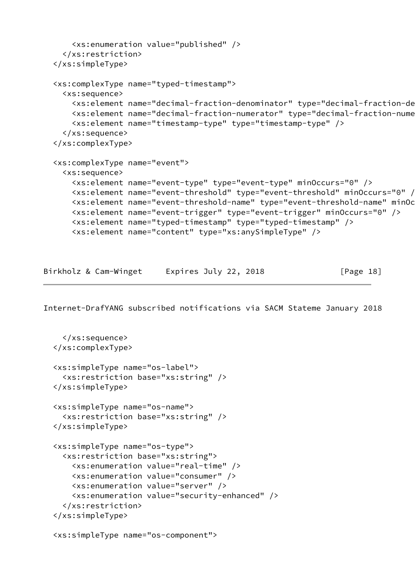```
 <xs:enumeration value="published" />
   </xs:restriction>
 </xs:simpleType>
 <xs:complexType name="typed-timestamp">
   <xs:sequence>
     <xs:element name="decimal-fraction-denominator" type="decimal-fraction-denominator"/>
    <xs:element name="decimal-fraction-numerator" type="decimal-fraction-nume
     <xs:element name="timestamp-type" type="timestamp-type" />
   </xs:sequence>
 </xs:complexType>
 <xs:complexType name="event">
   <xs:sequence>
     <xs:element name="event-type" type="event-type" minOccurs="0" />
     <xs:element name="event-threshold" type="event-threshold" minOccurs="0" />
     <xs:element name="event-threshold-name" type="event-threshold-name" minOccurs="0" />
     <xs:element name="event-trigger" type="event-trigger" minOccurs="0" />
     <xs:element name="typed-timestamp" type="typed-timestamp" />
     <xs:element name="content" type="xs:anySimpleType" />
```

| Birkholz & Cam-Winget | Expires July 22, 2018 | [Page 18] |
|-----------------------|-----------------------|-----------|
|-----------------------|-----------------------|-----------|

```
 </xs:sequence>
 </xs:complexType>
 <xs:simpleType name="os-label">
   <xs:restriction base="xs:string" />
 </xs:simpleType>
 <xs:simpleType name="os-name">
   <xs:restriction base="xs:string" />
 </xs:simpleType>
 <xs:simpleType name="os-type">
   <xs:restriction base="xs:string">
     <xs:enumeration value="real-time" />
     <xs:enumeration value="consumer" />
     <xs:enumeration value="server" />
     <xs:enumeration value="security-enhanced" />
   </xs:restriction>
 </xs:simpleType>
```

```
 <xs:simpleType name="os-component">
```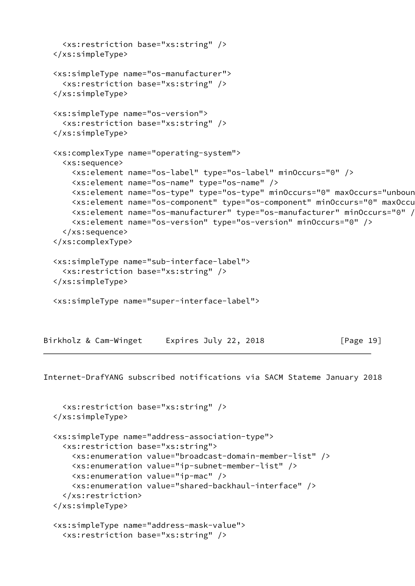```
 <xs:restriction base="xs:string" />
   </xs:simpleType>
   <xs:simpleType name="os-manufacturer">
     <xs:restriction base="xs:string" />
   </xs:simpleType>
   <xs:simpleType name="os-version">
     <xs:restriction base="xs:string" />
   </xs:simpleType>
   <xs:complexType name="operating-system">
     <xs:sequence>
       <xs:element name="os-label" type="os-label" minOccurs="0" />
       <xs:element name="os-name" type="os-name" />
       <xs:element name="os-type" type="os-type" minOccurs="0" maxOccurs="unbounded" />
      <xs:element name="os-component" type="os-component" minOccurs="0" maxOccu
       <xs:element name="os-manufacturer" type="os-manufacturer" minOccurs="0" />
       <xs:element name="os-version" type="os-version" minOccurs="0" />
     </xs:sequence>
   </xs:complexType>
   <xs:simpleType name="sub-interface-label">
     <xs:restriction base="xs:string" />
   </xs:simpleType>
   <xs:simpleType name="super-interface-label">
Birkholz & Cam-Winget Expires July 22, 2018 [Page 19]
```

```
 <xs:restriction base="xs:string" />
 </xs:simpleType>
 <xs:simpleType name="address-association-type">
   <xs:restriction base="xs:string">
     <xs:enumeration value="broadcast-domain-member-list" />
     <xs:enumeration value="ip-subnet-member-list" />
     <xs:enumeration value="ip-mac" />
     <xs:enumeration value="shared-backhaul-interface" />
   </xs:restriction>
 </xs:simpleType>
 <xs:simpleType name="address-mask-value">
   <xs:restriction base="xs:string" />
```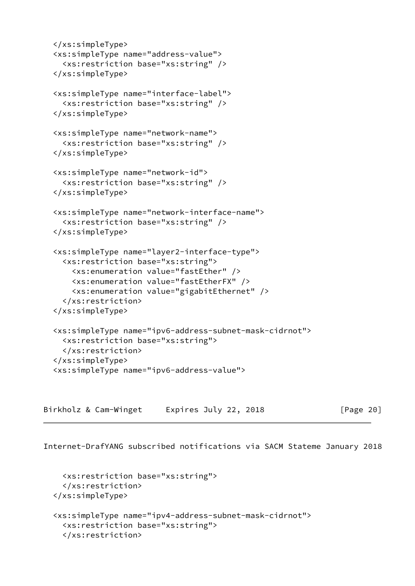```
 </xs:simpleType>
 <xs:simpleType name="address-value">
   <xs:restriction base="xs:string" />
 </xs:simpleType>
 <xs:simpleType name="interface-label">
   <xs:restriction base="xs:string" />
 </xs:simpleType>
 <xs:simpleType name="network-name">
   <xs:restriction base="xs:string" />
 </xs:simpleType>
 <xs:simpleType name="network-id">
   <xs:restriction base="xs:string" />
 </xs:simpleType>
 <xs:simpleType name="network-interface-name">
   <xs:restriction base="xs:string" />
 </xs:simpleType>
 <xs:simpleType name="layer2-interface-type">
   <xs:restriction base="xs:string">
     <xs:enumeration value="fastEther" />
     <xs:enumeration value="fastEtherFX" />
     <xs:enumeration value="gigabitEthernet" />
   </xs:restriction>
 </xs:simpleType>
 <xs:simpleType name="ipv6-address-subnet-mask-cidrnot">
   <xs:restriction base="xs:string">
   </xs:restriction>
 </xs:simpleType>
 <xs:simpleType name="ipv6-address-value">
```
Birkholz & Cam-Winget Expires July 22, 2018 [Page 20]

```
 <xs:restriction base="xs:string">
   </xs:restriction>
 </xs:simpleType>
 <xs:simpleType name="ipv4-address-subnet-mask-cidrnot">
   <xs:restriction base="xs:string">
   </xs:restriction>
```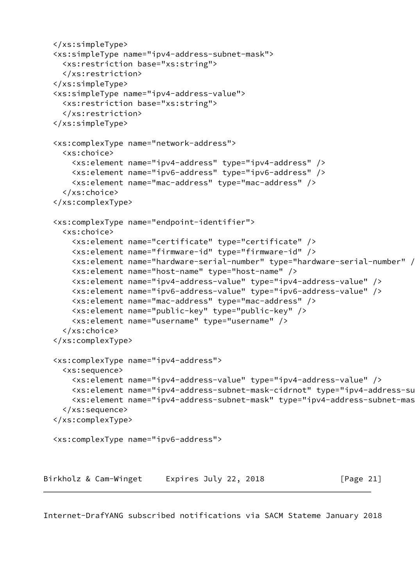```
 </xs:simpleType>
   <xs:simpleType name="ipv4-address-subnet-mask">
     <xs:restriction base="xs:string">
     </xs:restriction>
   </xs:simpleType>
   <xs:simpleType name="ipv4-address-value">
     <xs:restriction base="xs:string">
     </xs:restriction>
   </xs:simpleType>
   <xs:complexType name="network-address">
     <xs:choice>
       <xs:element name="ipv4-address" type="ipv4-address" />
       <xs:element name="ipv6-address" type="ipv6-address" />
       <xs:element name="mac-address" type="mac-address" />
     </xs:choice>
   </xs:complexType>
   <xs:complexType name="endpoint-identifier">
     <xs:choice>
       <xs:element name="certificate" type="certificate" />
       <xs:element name="firmware-id" type="firmware-id" />
       <xs:element name="hardware-serial-number" type="hardware-serial-number" />
       <xs:element name="host-name" type="host-name" />
       <xs:element name="ipv4-address-value" type="ipv4-address-value" />
       <xs:element name="ipv6-address-value" type="ipv6-address-value" />
       <xs:element name="mac-address" type="mac-address" />
       <xs:element name="public-key" type="public-key" />
       <xs:element name="username" type="username" />
     </xs:choice>
   </xs:complexType>
   <xs:complexType name="ipv4-address">
     <xs:sequence>
       <xs:element name="ipv4-address-value" type="ipv4-address-value" />
       <xs:element name="ipv4-address-subnet-mask-cidrnot" type="ipv4-address-subnet-mask-cidrnot
      <xs:element name="ipv4-address-subnet-mask" type="ipv4-address-subnet-mas
     </xs:sequence>
   </xs:complexType>
   <xs:complexType name="ipv6-address">
Birkholz & Cam-Winget Expires July 22, 2018 [Page 21]
```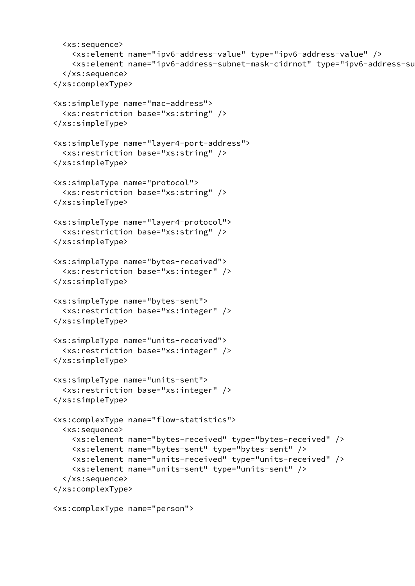```
 <xs:sequence>
     <xs:element name="ipv6-address-value" type="ipv6-address-value" />
     <xs:element name="ipv6-address-subnet-mask-cidrnot" type="ipv6-address-subnet-mask-cidrnot
   </xs:sequence>
 </xs:complexType>
 <xs:simpleType name="mac-address">
   <xs:restriction base="xs:string" />
 </xs:simpleType>
 <xs:simpleType name="layer4-port-address">
   <xs:restriction base="xs:string" />
 </xs:simpleType>
 <xs:simpleType name="protocol">
   <xs:restriction base="xs:string" />
 </xs:simpleType>
 <xs:simpleType name="layer4-protocol">
   <xs:restriction base="xs:string" />
 </xs:simpleType>
 <xs:simpleType name="bytes-received">
   <xs:restriction base="xs:integer" />
 </xs:simpleType>
 <xs:simpleType name="bytes-sent">
   <xs:restriction base="xs:integer" />
 </xs:simpleType>
 <xs:simpleType name="units-received">
   <xs:restriction base="xs:integer" />
 </xs:simpleType>
 <xs:simpleType name="units-sent">
   <xs:restriction base="xs:integer" />
 </xs:simpleType>
 <xs:complexType name="flow-statistics">
   <xs:sequence>
     <xs:element name="bytes-received" type="bytes-received" />
     <xs:element name="bytes-sent" type="bytes-sent" />
     <xs:element name="units-received" type="units-received" />
     <xs:element name="units-sent" type="units-sent" />
   </xs:sequence>
 </xs:complexType>
 <xs:complexType name="person">
```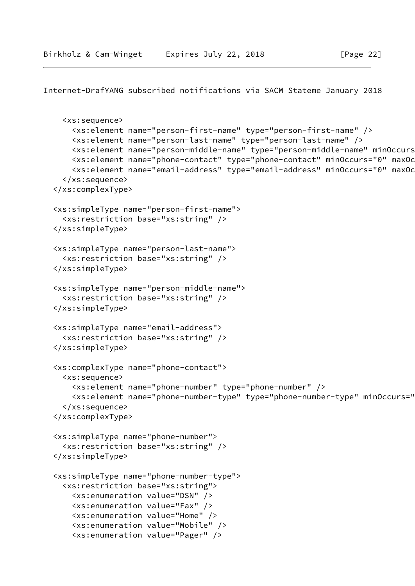```
Internet-DrafYANG subscribed notifications via SACM Stateme January 2018
```

```
 <xs:sequence>
     <xs:element name="person-first-name" type="person-first-name" />
     <xs:element name="person-last-name" type="person-last-name" />
     <xs:element name="person-middle-name" type="person-middle-name" minOccurs="0" maxOccurs="u
    <xs:element name="phone-contact" type="phone-contact" minOccurs="0" maxOc
    <xs:element name="email-address" type="email-address" minOccurs="0" maxOc
   </xs:sequence>
 </xs:complexType>
 <xs:simpleType name="person-first-name">
   <xs:restriction base="xs:string" />
 </xs:simpleType>
 <xs:simpleType name="person-last-name">
   <xs:restriction base="xs:string" />
 </xs:simpleType>
 <xs:simpleType name="person-middle-name">
   <xs:restriction base="xs:string" />
 </xs:simpleType>
 <xs:simpleType name="email-address">
   <xs:restriction base="xs:string" />
 </xs:simpleType>
 <xs:complexType name="phone-contact">
   <xs:sequence>
     <xs:element name="phone-number" type="phone-number" />
     <xs:element name="phone-number-type" type="phone-number-type" minOccurs="0" />
   </xs:sequence>
 </xs:complexType>
 <xs:simpleType name="phone-number">
   <xs:restriction base="xs:string" />
 </xs:simpleType>
 <xs:simpleType name="phone-number-type">
   <xs:restriction base="xs:string">
     <xs:enumeration value="DSN" />
     <xs:enumeration value="Fax" />
     <xs:enumeration value="Home" />
     <xs:enumeration value="Mobile" />
     <xs:enumeration value="Pager" />
```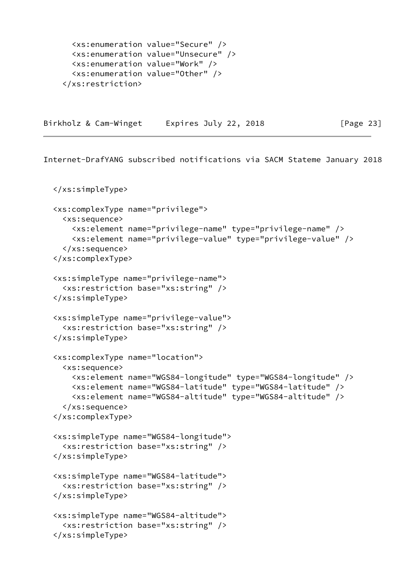```
 <xs:enumeration value="Secure" />
   <xs:enumeration value="Unsecure" />
   <xs:enumeration value="Work" />
   <xs:enumeration value="Other" />
 </xs:restriction>
```
Birkholz & Cam-Winget Expires July 22, 2018 [Page 23]

```
 </xs:simpleType>
 <xs:complexType name="privilege">
   <xs:sequence>
     <xs:element name="privilege-name" type="privilege-name" />
     <xs:element name="privilege-value" type="privilege-value" />
   </xs:sequence>
 </xs:complexType>
 <xs:simpleType name="privilege-name">
   <xs:restriction base="xs:string" />
 </xs:simpleType>
 <xs:simpleType name="privilege-value">
   <xs:restriction base="xs:string" />
 </xs:simpleType>
 <xs:complexType name="location">
   <xs:sequence>
     <xs:element name="WGS84-longitude" type="WGS84-longitude" />
     <xs:element name="WGS84-latitude" type="WGS84-latitude" />
     <xs:element name="WGS84-altitude" type="WGS84-altitude" />
   </xs:sequence>
 </xs:complexType>
 <xs:simpleType name="WGS84-longitude">
   <xs:restriction base="xs:string" />
 </xs:simpleType>
 <xs:simpleType name="WGS84-latitude">
   <xs:restriction base="xs:string" />
 </xs:simpleType>
 <xs:simpleType name="WGS84-altitude">
   <xs:restriction base="xs:string" />
 </xs:simpleType>
```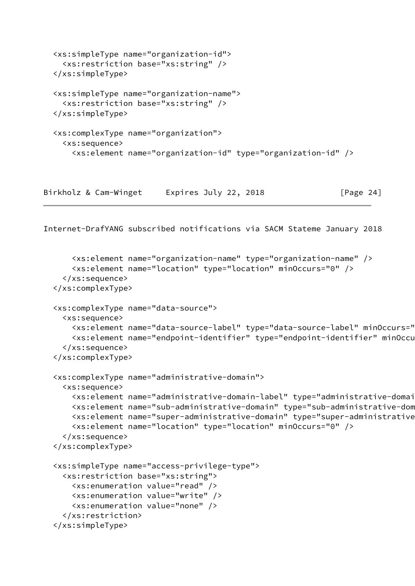```
 <xs:simpleType name="organization-id">
   <xs:restriction base="xs:string" />
 </xs:simpleType>
 <xs:simpleType name="organization-name">
   <xs:restriction base="xs:string" />
 </xs:simpleType>
 <xs:complexType name="organization">
   <xs:sequence>
     <xs:element name="organization-id" type="organization-id" />
```
Birkholz & Cam-Winget Expires July 22, 2018 [Page 24]

```
 <xs:element name="organization-name" type="organization-name" />
     <xs:element name="location" type="location" minOccurs="0" />
   </xs:sequence>
 </xs:complexType>
 <xs:complexType name="data-source">
   <xs:sequence>
     <xs:element name="data-source-label" type="data-source-label" minOccurs="0" />
    <xs:element name="endpoint-identifier" type="endpoint-identifier" minOccu
   </xs:sequence>
 </xs:complexType>
 <xs:complexType name="administrative-domain">
   <xs:sequence>
     <xs:element name="administrative-domain-label" type="administrative-domain-label" />
    <xs:element name="sub-administrative-domain" type="sub-administrative-dom
    <xs:element name="super-administrative-domain" type="super-administrative
     <xs:element name="location" type="location" minOccurs="0" />
   </xs:sequence>
 </xs:complexType>
 <xs:simpleType name="access-privilege-type">
   <xs:restriction base="xs:string">
     <xs:enumeration value="read" />
     <xs:enumeration value="write" />
     <xs:enumeration value="none" />
   </xs:restriction>
 </xs:simpleType>
```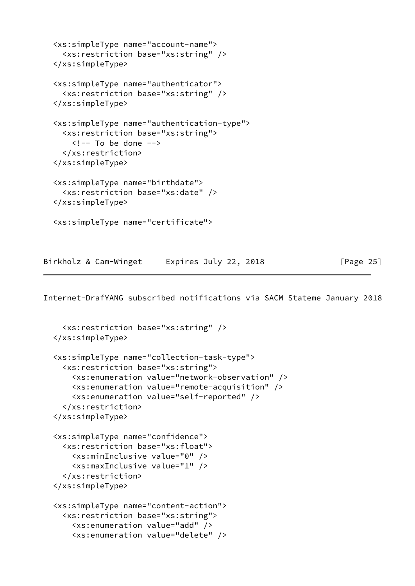```
 <xs:simpleType name="account-name">
   <xs:restriction base="xs:string" />
 </xs:simpleType>
 <xs:simpleType name="authenticator">
   <xs:restriction base="xs:string" />
 </xs:simpleType>
 <xs:simpleType name="authentication-type">
   <xs:restriction base="xs:string">
    \langle!-- To be done -->
   </xs:restriction>
 </xs:simpleType>
 <xs:simpleType name="birthdate">
   <xs:restriction base="xs:date" />
 </xs:simpleType>
 <xs:simpleType name="certificate">
```
Birkholz & Cam-Winget Expires July 22, 2018 [Page 25]

```
 <xs:restriction base="xs:string" />
 </xs:simpleType>
 <xs:simpleType name="collection-task-type">
   <xs:restriction base="xs:string">
     <xs:enumeration value="network-observation" />
     <xs:enumeration value="remote-acquisition" />
     <xs:enumeration value="self-reported" />
   </xs:restriction>
 </xs:simpleType>
 <xs:simpleType name="confidence">
   <xs:restriction base="xs:float">
     <xs:minInclusive value="0" />
     <xs:maxInclusive value="1" />
   </xs:restriction>
 </xs:simpleType>
 <xs:simpleType name="content-action">
   <xs:restriction base="xs:string">
     <xs:enumeration value="add" />
     <xs:enumeration value="delete" />
```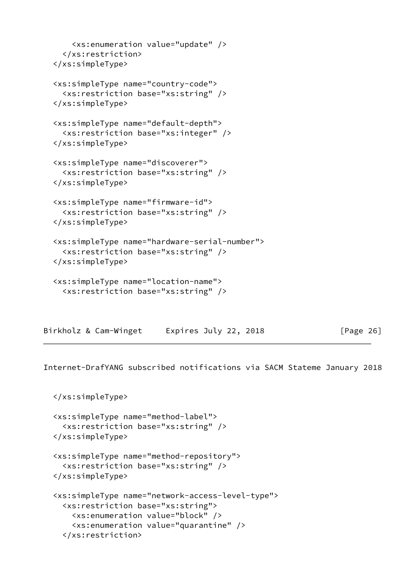```
 <xs:enumeration value="update" />
   </xs:restriction>
 </xs:simpleType>
 <xs:simpleType name="country-code">
   <xs:restriction base="xs:string" />
 </xs:simpleType>
 <xs:simpleType name="default-depth">
   <xs:restriction base="xs:integer" />
 </xs:simpleType>
 <xs:simpleType name="discoverer">
   <xs:restriction base="xs:string" />
 </xs:simpleType>
 <xs:simpleType name="firmware-id">
   <xs:restriction base="xs:string" />
 </xs:simpleType>
 <xs:simpleType name="hardware-serial-number">
   <xs:restriction base="xs:string" />
 </xs:simpleType>
 <xs:simpleType name="location-name">
   <xs:restriction base="xs:string" />
```

| Birkholz & Cam-Winget | Expires July 22, 2018 | [Page 26] |
|-----------------------|-----------------------|-----------|
|-----------------------|-----------------------|-----------|

```
 </xs:simpleType>
```

```
 <xs:simpleType name="method-label">
   <xs:restriction base="xs:string" />
 </xs:simpleType>
 <xs:simpleType name="method-repository">
   <xs:restriction base="xs:string" />
 </xs:simpleType>
 <xs:simpleType name="network-access-level-type">
   <xs:restriction base="xs:string">
     <xs:enumeration value="block" />
     <xs:enumeration value="quarantine" />
   </xs:restriction>
```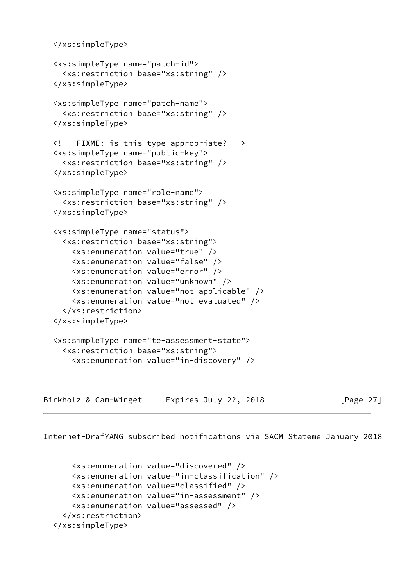```
 </xs:simpleType>
 <xs:simpleType name="patch-id">
   <xs:restriction base="xs:string" />
 </xs:simpleType>
 <xs:simpleType name="patch-name">
   <xs:restriction base="xs:string" />
 </xs:simpleType>
 <!-- FIXME: is this type appropriate? -->
 <xs:simpleType name="public-key">
   <xs:restriction base="xs:string" />
 </xs:simpleType>
 <xs:simpleType name="role-name">
   <xs:restriction base="xs:string" />
 </xs:simpleType>
 <xs:simpleType name="status">
   <xs:restriction base="xs:string">
     <xs:enumeration value="true" />
     <xs:enumeration value="false" />
     <xs:enumeration value="error" />
     <xs:enumeration value="unknown" />
     <xs:enumeration value="not applicable" />
     <xs:enumeration value="not evaluated" />
   </xs:restriction>
 </xs:simpleType>
 <xs:simpleType name="te-assessment-state">
   <xs:restriction base="xs:string">
     <xs:enumeration value="in-discovery" />
```
Birkholz & Cam-Winget Expires July 22, 2018 [Page 27]

```
 <xs:enumeration value="discovered" />
     <xs:enumeration value="in-classification" />
     <xs:enumeration value="classified" />
     <xs:enumeration value="in-assessment" />
     <xs:enumeration value="assessed" />
   </xs:restriction>
 </xs:simpleType>
```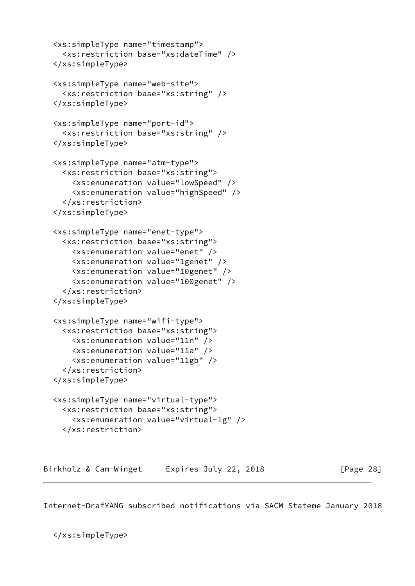```
 <xs:simpleType name="timestamp">
     <xs:restriction base="xs:dateTime" />
   </xs:simpleType>
   <xs:simpleType name="web-site">
     <xs:restriction base="xs:string" />
   </xs:simpleType>
   <xs:simpleType name="port-id">
     <xs:restriction base="xs:string" />
   </xs:simpleType>
   <xs:simpleType name="atm-type">
     <xs:restriction base="xs:string">
       <xs:enumeration value="lowSpeed" />
       <xs:enumeration value="highSpeed" />
     </xs:restriction>
   </xs:simpleType>
   <xs:simpleType name="enet-type">
     <xs:restriction base="xs:string">
       <xs:enumeration value="enet" />
       <xs:enumeration value="1genet" />
       <xs:enumeration value="10genet" />
       <xs:enumeration value="100genet" />
     </xs:restriction>
   </xs:simpleType>
   <xs:simpleType name="wifi-type">
     <xs:restriction base="xs:string">
       <xs:enumeration value="11n" />
       <xs:enumeration value="11a" />
       <xs:enumeration value="11gb" />
     </xs:restriction>
   </xs:simpleType>
   <xs:simpleType name="virtual-type">
     <xs:restriction base="xs:string">
       <xs:enumeration value="virtual-1g" />
     </xs:restriction>
Birkholz & Cam-Winget Expires July 22, 2018 [Page 28]
```
<span id="page-31-0"></span></xs:simpleType>